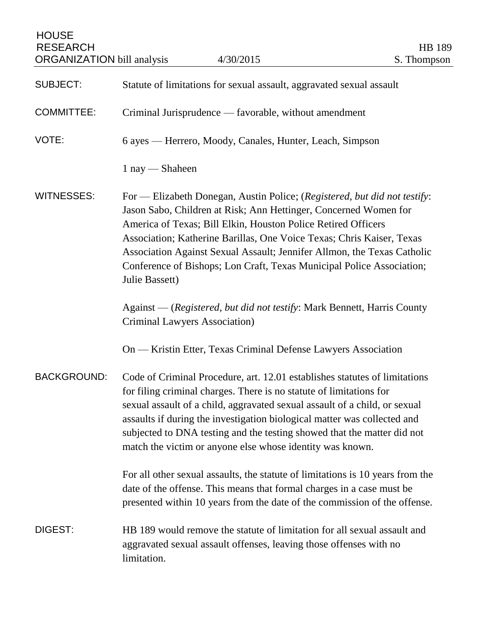| <b>HOUSE</b><br><b>RESEARCH</b><br><b>ORGANIZATION</b> bill analysis | 4/30/2015                                                                                                                                                                                                                                                                                                                                                                                                                                                     | <b>HB</b> 189<br>S. Thompson |
|----------------------------------------------------------------------|---------------------------------------------------------------------------------------------------------------------------------------------------------------------------------------------------------------------------------------------------------------------------------------------------------------------------------------------------------------------------------------------------------------------------------------------------------------|------------------------------|
| <b>SUBJECT:</b>                                                      | Statute of limitations for sexual assault, aggravated sexual assault                                                                                                                                                                                                                                                                                                                                                                                          |                              |
| <b>COMMITTEE:</b>                                                    | Criminal Jurisprudence — favorable, without amendment                                                                                                                                                                                                                                                                                                                                                                                                         |                              |
| VOTE:                                                                | 6 ayes — Herrero, Moody, Canales, Hunter, Leach, Simpson                                                                                                                                                                                                                                                                                                                                                                                                      |                              |
|                                                                      | $1$ nay — Shaheen                                                                                                                                                                                                                                                                                                                                                                                                                                             |                              |
| <b>WITNESSES:</b>                                                    | For - Elizabeth Donegan, Austin Police; (Registered, but did not testify:<br>Jason Sabo, Children at Risk; Ann Hettinger, Concerned Women for<br>America of Texas; Bill Elkin, Houston Police Retired Officers<br>Association; Katherine Barillas, One Voice Texas; Chris Kaiser, Texas<br>Association Against Sexual Assault; Jennifer Allmon, the Texas Catholic<br>Conference of Bishops; Lon Craft, Texas Municipal Police Association;<br>Julie Bassett) |                              |
|                                                                      | Against — (Registered, but did not testify: Mark Bennett, Harris County<br><b>Criminal Lawyers Association</b> )                                                                                                                                                                                                                                                                                                                                              |                              |
|                                                                      | On — Kristin Etter, Texas Criminal Defense Lawyers Association                                                                                                                                                                                                                                                                                                                                                                                                |                              |
| <b>BACKGROUND:</b>                                                   | Code of Criminal Procedure, art. 12.01 establishes statutes of limitations<br>for filing criminal charges. There is no statute of limitations for<br>sexual assault of a child, aggravated sexual assault of a child, or sexual<br>assaults if during the investigation biological matter was collected and<br>subjected to DNA testing and the testing showed that the matter did not<br>match the victim or anyone else whose identity was known.           |                              |
|                                                                      | For all other sexual assaults, the statute of limitations is 10 years from the<br>date of the offense. This means that formal charges in a case must be<br>presented within 10 years from the date of the commission of the offense.                                                                                                                                                                                                                          |                              |
| DIGEST:                                                              | HB 189 would remove the statute of limitation for all sexual assault and<br>aggravated sexual assault offenses, leaving those offenses with no<br>limitation.                                                                                                                                                                                                                                                                                                 |                              |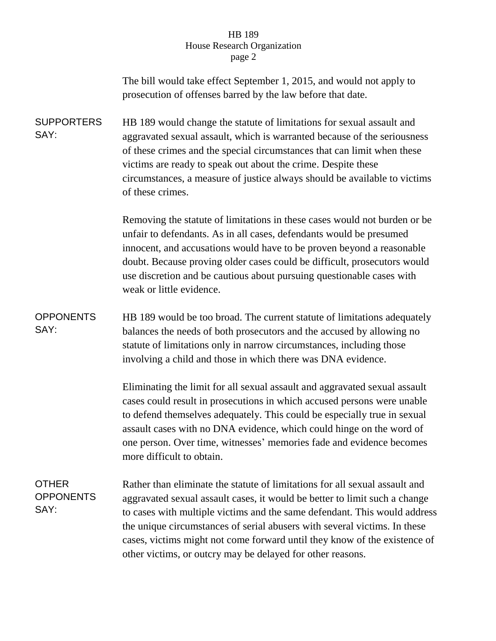## HB 189 House Research Organization page 2

|                                          | The bill would take effect September 1, 2015, and would not apply to<br>prosecution of offenses barred by the law before that date.                                                                                                                                                                                                                                                                                                                            |  |
|------------------------------------------|----------------------------------------------------------------------------------------------------------------------------------------------------------------------------------------------------------------------------------------------------------------------------------------------------------------------------------------------------------------------------------------------------------------------------------------------------------------|--|
| <b>SUPPORTERS</b><br>SAY:                | HB 189 would change the statute of limitations for sexual assault and<br>aggravated sexual assault, which is warranted because of the seriousness<br>of these crimes and the special circumstances that can limit when these<br>victims are ready to speak out about the crime. Despite these<br>circumstances, a measure of justice always should be available to victims<br>of these crimes.                                                                 |  |
|                                          | Removing the statute of limitations in these cases would not burden or be<br>unfair to defendants. As in all cases, defendants would be presumed<br>innocent, and accusations would have to be proven beyond a reasonable<br>doubt. Because proving older cases could be difficult, prosecutors would<br>use discretion and be cautious about pursuing questionable cases with<br>weak or little evidence.                                                     |  |
| <b>OPPONENTS</b><br>SAY:                 | HB 189 would be too broad. The current statute of limitations adequately<br>balances the needs of both prosecutors and the accused by allowing no<br>statute of limitations only in narrow circumstances, including those<br>involving a child and those in which there was DNA evidence.                                                                                                                                                                      |  |
|                                          | Eliminating the limit for all sexual assault and aggravated sexual assault<br>cases could result in prosecutions in which accused persons were unable<br>to defend themselves adequately. This could be especially true in sexual<br>assault cases with no DNA evidence, which could hinge on the word of<br>one person. Over time, witnesses' memories fade and evidence becomes<br>more difficult to obtain.                                                 |  |
| <b>OTHER</b><br><b>OPPONENTS</b><br>SAY: | Rather than eliminate the statute of limitations for all sexual assault and<br>aggravated sexual assault cases, it would be better to limit such a change<br>to cases with multiple victims and the same defendant. This would address<br>the unique circumstances of serial abusers with several victims. In these<br>cases, victims might not come forward until they know of the existence of<br>other victims, or outcry may be delayed for other reasons. |  |